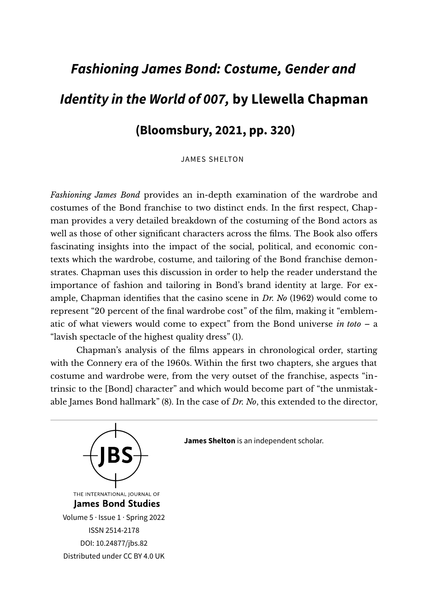## *Fashioning James Bond: Costume, Gender and Identity in the World of 007,* **by Llewella Chapman (Bloomsbury, 2021, pp. 320)**

JAMES SHELTON

*Fashioning James Bond* provides an in-depth examination of the wardrobe and costumes of the Bond franchise to two distinct ends. In the frst respect, Chapman provides a very detailed breakdown of the costuming of the Bond actors as well as those of other signifcant characters across the flms. The Book also ofers fascinating insights into the impact of the social, political, and economic contexts which the wardrobe, costume, and tailoring of the Bond franchise demonstrates. Chapman uses this discussion in order to help the reader understand the importance of fashion and tailoring in Bond's brand identity at large. For example, Chapman identifes that the casino scene in *Dr. No* (1962) would come to represent "20 percent of the fnal wardrobe cost" of the flm, making it "emblematic of what viewers would come to expect" from the Bond universe *in toto* – a "lavish spectacle of the highest quality dress" (1).

Chapman's analysis of the flms appears in chronological order, starting with the Connery era of the 1960s. Within the frst two chapters, she argues that costume and wardrobe were, from the very outset of the franchise, aspects "intrinsic to the [Bond] character" and which would become part of "the unmistakable James Bond hallmark" (8). In the case of *Dr. No*, this extended to the director,



**James Shelton** is an independent scholar.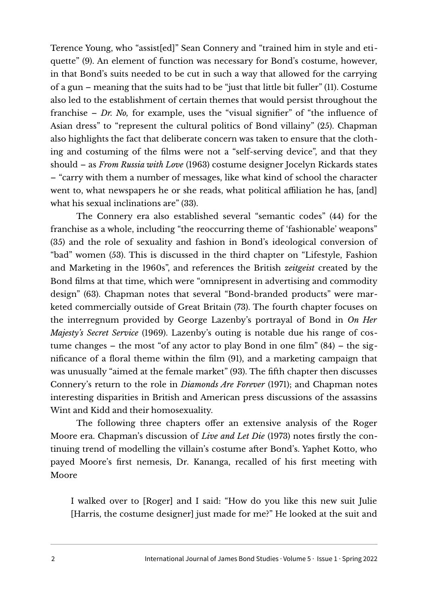Terence Young, who "assist[ed]" Sean Connery and "trained him in style and etiquette" (9). An element of function was necessary for Bond's costume, however, in that Bond's suits needed to be cut in such a way that allowed for the carrying of a gun – meaning that the suits had to be "just that little bit fuller" (11). Costume also led to the establishment of certain themes that would persist throughout the franchise – *Dr. No,* for example, uses the "visual signifer" of "the infuence of Asian dress" to "represent the cultural politics of Bond villainy" (25). Chapman also highlights the fact that deliberate concern was taken to ensure that the clothing and costuming of the flms were not a "self-serving device", and that they should – as *From Russia with Love* (1963) costume designer Jocelyn Rickards states – "carry with them a number of messages, like what kind of school the character went to, what newspapers he or she reads, what political affiliation he has, [and] what his sexual inclinations are" (33).

The Connery era also established several "semantic codes" (44) for the franchise as a whole, including "the reoccurring theme of 'fashionable' weapons" (35) and the role of sexuality and fashion in Bond's ideological conversion of "bad" women (53). This is discussed in the third chapter on "Lifestyle, Fashion and Marketing in the 1960s", and references the British *zeitgeist* created by the Bond flms at that time, which were "omnipresent in advertising and commodity design" (63). Chapman notes that several "Bond-branded products" were marketed commercially outside of Great Britain (73). The fourth chapter focuses on the interregnum provided by George Lazenby's portrayal of Bond in *On Her Majesty's Secret Service* (1969). Lazenby's outing is notable due his range of costume changes – the most "of any actor to play Bond in one flm" (84) – the signifcance of a foral theme within the flm (91), and a marketing campaign that was unusually "aimed at the female market" (93). The fifth chapter then discusses Connery's return to the role in *Diamonds Are Forever* (1971); and Chapman notes interesting disparities in British and American press discussions of the assassins Wint and Kidd and their homosexuality.

The following three chapters offer an extensive analysis of the Roger Moore era. Chapman's discussion of *Live and Let Die* (1973) notes frstly the continuing trend of modelling the villain's costume after Bond's. Yaphet Kotto, who payed Moore's frst nemesis, Dr. Kananga, recalled of his frst meeting with Moore

I walked over to [Roger] and I said: "How do you like this new suit Julie [Harris, the costume designer] just made for me?" He looked at the suit and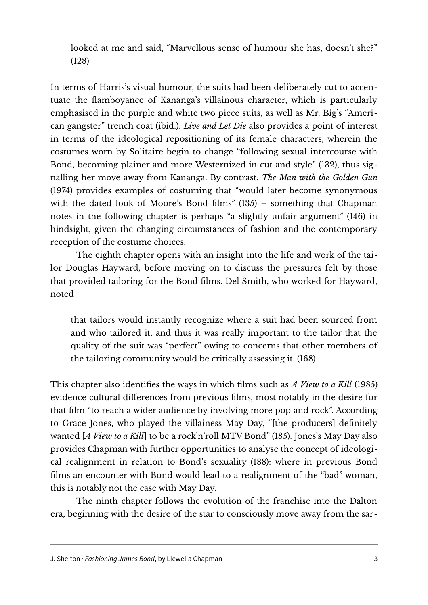looked at me and said, "Marvellous sense of humour she has, doesn't she?" (128)

In terms of Harris's visual humour, the suits had been deliberately cut to accentuate the famboyance of Kananga's villainous character, which is particularly emphasised in the purple and white two piece suits, as well as Mr. Big's "American gangster" trench coat (ibid.). *Live and Let Die* also provides a point of interest in terms of the ideological repositioning of its female characters, wherein the costumes worn by Solitaire begin to change "following sexual intercourse with Bond, becoming plainer and more Westernized in cut and style" (132), thus signalling her move away from Kananga. By contrast, *The Man with the Golden Gun* (1974) provides examples of costuming that "would later become synonymous with the dated look of Moore's Bond films" (135) - something that Chapman notes in the following chapter is perhaps "a slightly unfair argument" (146) in hindsight, given the changing circumstances of fashion and the contemporary reception of the costume choices.

The eighth chapter opens with an insight into the life and work of the tailor Douglas Hayward, before moving on to discuss the pressures felt by those that provided tailoring for the Bond flms. Del Smith, who worked for Hayward, noted

that tailors would instantly recognize where a suit had been sourced from and who tailored it, and thus it was really important to the tailor that the quality of the suit was "perfect" owing to concerns that other members of the tailoring community would be critically assessing it. (168)

This chapter also identifes the ways in which flms such as *A View to a Kill* (1985) evidence cultural diferences from previous flms, most notably in the desire for that flm "to reach a wider audience by involving more pop and rock". According to Grace Jones, who played the villainess May Day, "[the producers] defnitely wanted [*A View to a Kill*] to be a rock'n'roll MTV Bond" (185). Jones's May Day also provides Chapman with further opportunities to analyse the concept of ideological realignment in relation to Bond's sexuality (188): where in previous Bond flms an encounter with Bond would lead to a realignment of the "bad" woman, this is notably not the case with May Day.

The ninth chapter follows the evolution of the franchise into the Dalton era, beginning with the desire of the star to consciously move away from the sar